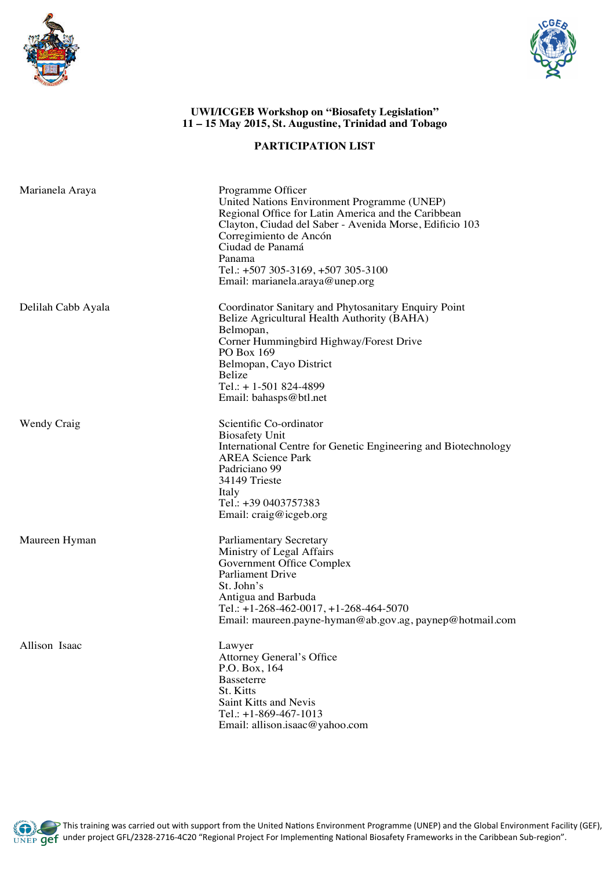



## **UWI/ICGEB Workshop on "Biosafety Legislation" 11 – 15 May 2015, St. Augustine, Trinidad and Tobago**

## **PARTICIPATION LIST**

| Marianela Araya    | Programme Officer<br>United Nations Environment Programme (UNEP)<br>Regional Office for Latin America and the Caribbean<br>Clayton, Ciudad del Saber - Avenida Morse, Edificio 103<br>Corregimiento de Ancón<br>Ciudad de Panamá<br>Panama<br>Tel.: +507 305-3169, +507 305-3100<br>Email: marianela.araya@unep.org |
|--------------------|---------------------------------------------------------------------------------------------------------------------------------------------------------------------------------------------------------------------------------------------------------------------------------------------------------------------|
| Delilah Cabb Ayala | Coordinator Sanitary and Phytosanitary Enquiry Point<br>Belize Agricultural Health Authority (BAHA)<br>Belmopan,<br>Corner Hummingbird Highway/Forest Drive<br>PO Box 169<br>Belmopan, Cayo District<br>Belize<br>Tel.: +1-501 824-4899<br>Email: bahasps@btl.net                                                   |
| Wendy Craig        | Scientific Co-ordinator<br><b>Biosafety Unit</b><br>International Centre for Genetic Engineering and Biotechnology<br><b>AREA Science Park</b><br>Padriciano 99<br>34149 Trieste<br>Italy<br>Tel.: +39 0403757383<br>Email: craig@icgeb.org                                                                         |
| Maureen Hyman      | <b>Parliamentary Secretary</b><br>Ministry of Legal Affairs<br>Government Office Complex<br>Parliament Drive<br>St. John's<br>Antigua and Barbuda<br>Tel.: $+1-268-462-0017$ , $+1-268-464-5070$<br>Email: maureen.payne-hyman@ab.gov.ag, paynep@hotmail.com                                                        |
| Allison Isaac      | Lawyer<br>Attorney General's Office<br>P.O. Box, 164<br><b>Basseterre</b><br>St. Kitts<br>Saint Kitts and Nevis<br>Tel.: $+1-869-467-1013$<br>Email: allison.isaac@yahoo.com                                                                                                                                        |

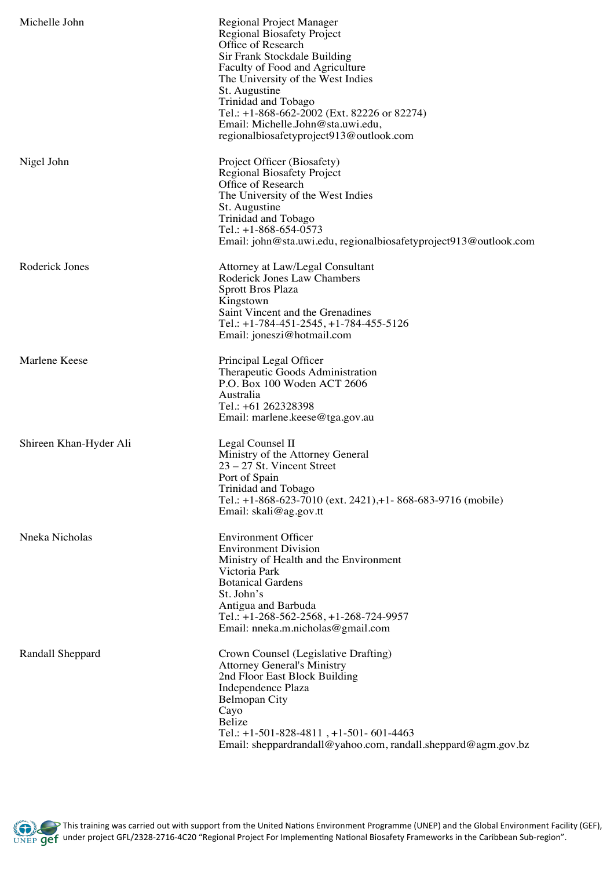| Michelle John          | Regional Project Manager<br><b>Regional Biosafety Project</b><br>Office of Research<br>Sir Frank Stockdale Building<br>Faculty of Food and Agriculture<br>The University of the West Indies<br>St. Augustine<br>Trinidad and Tobago<br>Tel.: +1-868-662-2002 (Ext. 82226 or 82274)<br>Email: Michelle.John@sta.uwi.edu,<br>regionalbiosafetyproject913@outlook.com |
|------------------------|--------------------------------------------------------------------------------------------------------------------------------------------------------------------------------------------------------------------------------------------------------------------------------------------------------------------------------------------------------------------|
| Nigel John             | Project Officer (Biosafety)<br><b>Regional Biosafety Project</b><br>Office of Research<br>The University of the West Indies<br>St. Augustine<br>Trinidad and Tobago<br>Tel.: $+1-868-654-0573$<br>Email: john@sta.uwi.edu, regionalbiosafetyproject913@outlook.com                                                                                                 |
| Roderick Jones         | Attorney at Law/Legal Consultant<br>Roderick Jones Law Chambers<br><b>Sprott Bros Plaza</b><br>Kingstown<br>Saint Vincent and the Grenadines<br>Tel.: $+1-784-451-2545$ , $+1-784-455-5126$<br>Email: joneszi@hotmail.com                                                                                                                                          |
| Marlene Keese          | Principal Legal Officer<br>Therapeutic Goods Administration<br>P.O. Box 100 Woden ACT 2606<br>Australia<br>Tel.: +61 262328398<br>Email: marlene.keese@tga.gov.au                                                                                                                                                                                                  |
| Shireen Khan-Hyder Ali | Legal Counsel II<br>Ministry of the Attorney General<br>$23 - 27$ St. Vincent Street<br>Port of Spain<br>Trinidad and Tobago<br>Tel.: +1-868-623-7010 (ext. 2421), +1-868-683-9716 (mobile)<br>Email: $skali@ag.gov.t$                                                                                                                                             |
| Nneka Nicholas         | <b>Environment Officer</b><br><b>Environment Division</b><br>Ministry of Health and the Environment<br>Victoria Park<br><b>Botanical Gardens</b><br>St. John's<br>Antigua and Barbuda<br>Tel.: $+1-268-562-2568$ , $+1-268-724-9957$<br>Email: nneka.m.nicholas@gmail.com                                                                                          |
| Randall Sheppard       | Crown Counsel (Legislative Drafting)<br><b>Attorney General's Ministry</b><br>2nd Floor East Block Building<br>Independence Plaza<br><b>Belmopan City</b><br>Cayo<br>Belize<br>Tel.: $+1-501-828-4811$ , $+1-501-601-4463$<br>Email: sheppardrandall@yahoo.com, randall.sheppard@agm.gov.bz                                                                        |